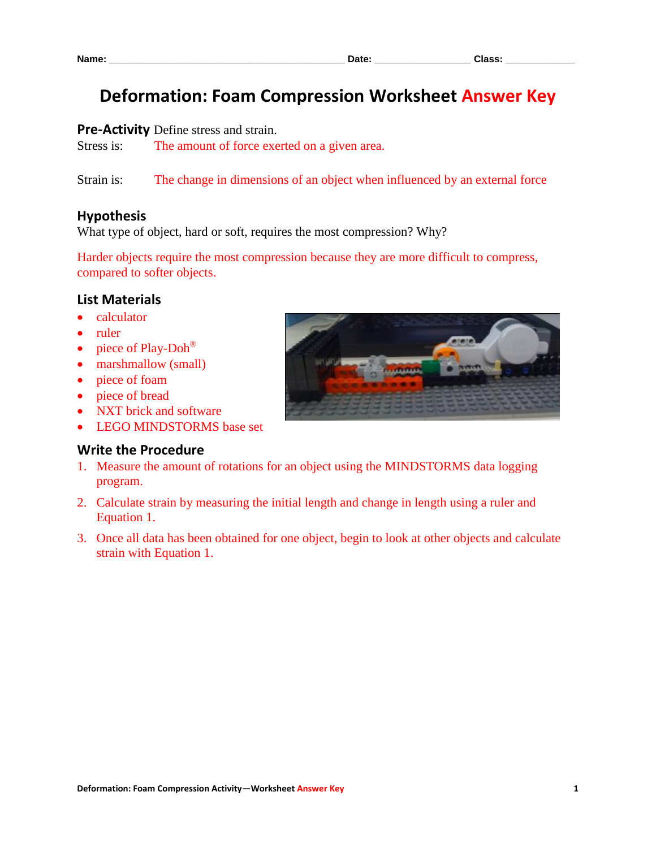# **Deformation: Foam Compression Worksheet Answer Key**

#### **Pre-Activity** Define stress and strain.

Stress is: The amount of force exerted on a given area.

Strain is: The change in dimensions of an object when influenced by an external force

#### **Hypothesis**

What type of object, hard or soft, requires the most compression? Why?

Harder objects require the most compression because they are more difficult to compress, compared to softer objects.

#### **List Materials**

- calculator
- ruler
- piece of Play-Doh<sup>®</sup>
- marshmallow (small)
- piece of foam
- piece of bread
- NXT brick and software
- LEGO MINDSTORMS base set

#### **Write the Procedure**

- 1. Measure the amount of rotations for an object using the MINDSTORMS data logging program.
- 2. Calculate strain by measuring the initial length and change in length using a ruler and Equation 1.
- 3. Once all data has been obtained for one object, begin to look at other objects and calculate strain with Equation 1.

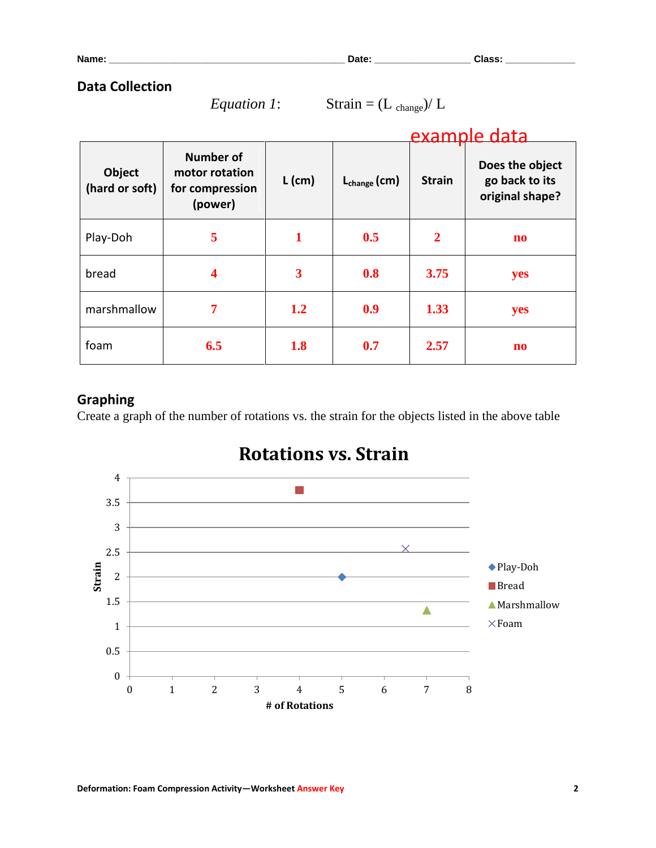**Name: \_\_\_\_\_\_\_\_\_\_\_\_\_\_\_\_\_\_\_\_\_\_\_\_\_\_\_\_\_\_\_\_\_\_\_\_\_\_\_\_\_\_\_\_ Date: \_\_\_\_\_\_\_\_\_\_\_\_\_\_\_\_\_\_ Class: \_\_\_\_\_\_\_\_\_\_\_\_\_**

#### **Data Collection**

*Equation 1*: Strain =  $(L_{change})/L$ 

|                                 |                                                                  |          | example data      |                |                                                      |
|---------------------------------|------------------------------------------------------------------|----------|-------------------|----------------|------------------------------------------------------|
| <b>Object</b><br>(hard or soft) | <b>Number of</b><br>motor rotation<br>for compression<br>(power) | $L$ (cm) | $L_{change}$ (cm) | <b>Strain</b>  | Does the object<br>go back to its<br>original shape? |
| Play-Doh                        | 5                                                                | 1        | 0.5               | $\overline{2}$ | $\mathbf{n}\mathbf{o}$                               |
| bread                           | 4                                                                | 3        | 0.8               | 3.75           | yes                                                  |
| marshmallow                     | 7                                                                | 1.2      | 0.9               | 1.33           | yes                                                  |
| foam                            | 6.5                                                              | 1.8      | 0.7               | 2.57           | $\mathbf{n}\mathbf{o}$                               |

## **Graphing**

Create a graph of the number of rotations vs. the strain for the objects listed in the above table



# **Rotations vs. Strain**